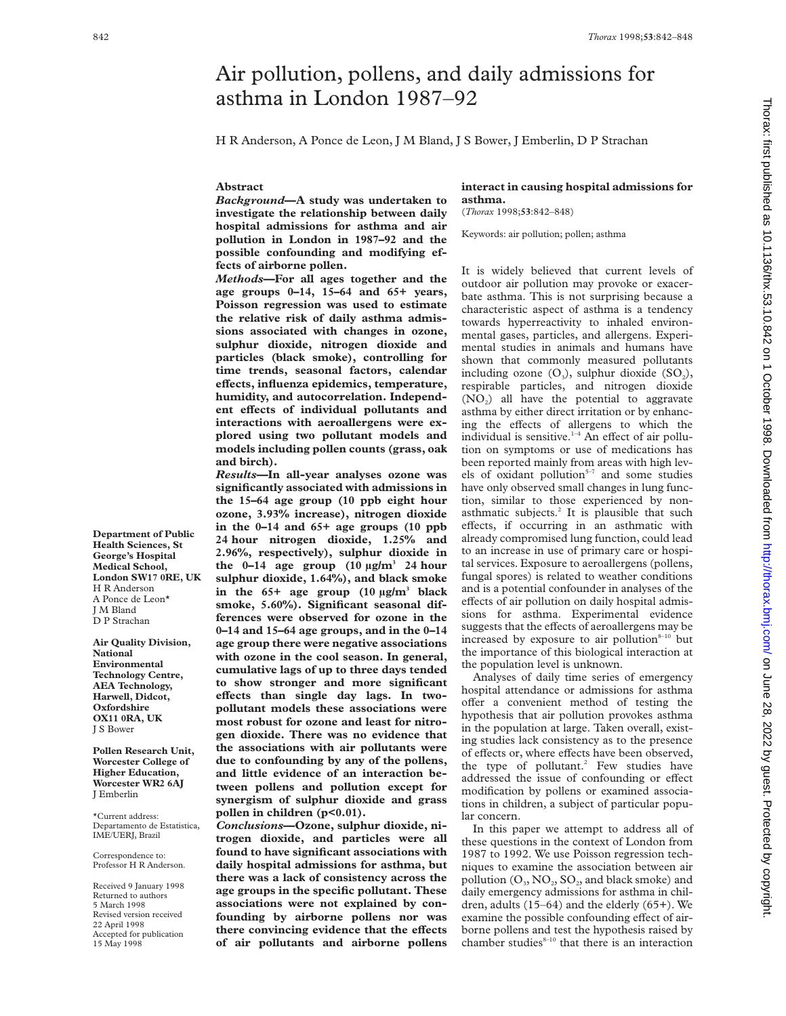# Air pollution, pollens, and daily admissions for asthma in London 1987–92

H R Anderson, A Ponce de Leon, J M Bland, J S Bower, J Emberlin, D P Strachan

### **Abstract**

*Background***—A study was undertaken to investigate the relationship between daily hospital admissions for asthma and air pollution in London in 1987–92 and the possible confounding and modifying effects of airborne pollen.**

*Methods***—For all ages together and the age groups 0–14, 15–64 and 65+ years, Poisson regression was used to estimate the relative risk of daily asthma admissions associated with changes in ozone, sulphur dioxide, nitrogen dioxide and particles (black smoke), controlling for time trends, seasonal factors, calendar eVects, influenza epidemics, temperature, humidity, and autocorrelation. Independ**ent effects of individual pollutants and **interactions with aeroallergens were explored using two pollutant models and models including pollen counts (grass, oak and birch).**

*Results***—In all-year analyses ozone was significantly associated with admissions in the 15–64 age group (10 ppb eight hour ozone, 3.93% increase), nitrogen dioxide in the 0–14 and 65+ age groups (10 ppb 24 hour nitrogen dioxide, 1.25% and 2.96%, respectively), sulphur dioxide in** the  $0-14$  age group  $(10 \text{ µg/m}^3)$  24 hour **sulphur dioxide, 1.64%), and black smoke in the 65+ age group (10 µg/m3 black smoke, 5.60%). Significant seasonal differences were observed for ozone in the 0–14 and 15–64 age groups, and in the 0–14 age group there were negative associations with ozone in the cool season. In general, cumulative lags of up to three days tended to show stronger and more significant** effects than single day lags. In two**pollutant models these associations were most robust for ozone and least for nitrogen dioxide. There was no evidence that the associations with air pollutants were due to confounding by any of the pollens, and little evidence of an interaction between pollens and pollution except for synergism of sulphur dioxide and grass pollen in children (p<0.01).**

*Conclusions***—Ozone, sulphur dioxide, nitrogen dioxide, and particles were all found to have significant associations with daily hospital admissions for asthma, but there was a lack of consistency across the age groups in the specific pollutant. These associations were not explained by confounding by airborne pollens nor was** there convincing evidence that the effects **of air pollutants and airborne pollens**

## **interact in causing hospital admissions for asthma.**

(*Thorax* 1998;**53**:842–848)

Keywords: air pollution; pollen; asthma

It is widely believed that current levels of outdoor air pollution may provoke or exacerbate asthma. This is not surprising because a characteristic aspect of asthma is a tendency towards hyperreactivity to inhaled environmental gases, particles, and allergens. Experimental studies in animals and humans have shown that commonly measured pollutants including ozone  $(O_3)$ , sulphur dioxide  $(SO_2)$ , respirable particles, and nitrogen dioxide  $(NO<sub>2</sub>)$  all have the potential to aggravate asthma by either direct irritation or by enhancing the effects of allergens to which the individual is sensitive. $1-4$  An effect of air pollution on symptoms or use of medications has been reported mainly from areas with high levels of oxidant pollution $5-7$  and some studies have only observed small changes in lung function, similar to those experienced by nonasthmatic subjects.<sup>2</sup> It is plausible that such effects, if occurring in an asthmatic with already compromised lung function, could lead to an increase in use of primary care or hospital services. Exposure to aeroallergens (pollens, fungal spores) is related to weather conditions and is a potential confounder in analyses of the effects of air pollution on daily hospital admissions for asthma. Experimental evidence suggests that the effects of aeroallergens may be increased by exposure to air pollution $8-10$  but the importance of this biological interaction at the population level is unknown.

Analyses of daily time series of emergency hospital attendance or admissions for asthma offer a convenient method of testing the hypothesis that air pollution provokes asthma in the population at large. Taken overall, existing studies lack consistency as to the presence of effects or, where effects have been observed, the type of pollutant.<sup>2</sup> Few studies have addressed the issue of confounding or effect modification by pollens or examined associations in children, a subject of particular popular concern.

In this paper we attempt to address all of these questions in the context of London from 1987 to 1992. We use Poisson regression techniques to examine the association between air pollution  $(O_3, NO_2, SO_2)$  and black smoke) and daily emergency admissions for asthma in children, adults (15–64) and the elderly (65+). We examine the possible confounding effect of airborne pollens and test the hypothesis raised by chamber studies $8-10$  that there is an interaction

**Department of Public Health Sciences, St George's Hospital Medical School, London SW17 0RE, UK** H R Anderson A Ponce de Leon\* J M Bland D P Strachan

**Air Quality Division, National Environmental Technology Centre, AEA Technology, Harwell, Didcot, Oxfordshire OX11 0RA, UK** J S Bower

**Pollen Research Unit, Worcester College of Higher Education, Worcester WR2 6AJ** J Emberlin

\*Current address: Departamento de Estatistica, IME/UERJ, Brazil

Correspondence to: Professor H R Anderson.

Received 9 January 1998 Returned to authors 5 March 1998 Revised version received 22 April 1998 Accepted for publication 15 May 1998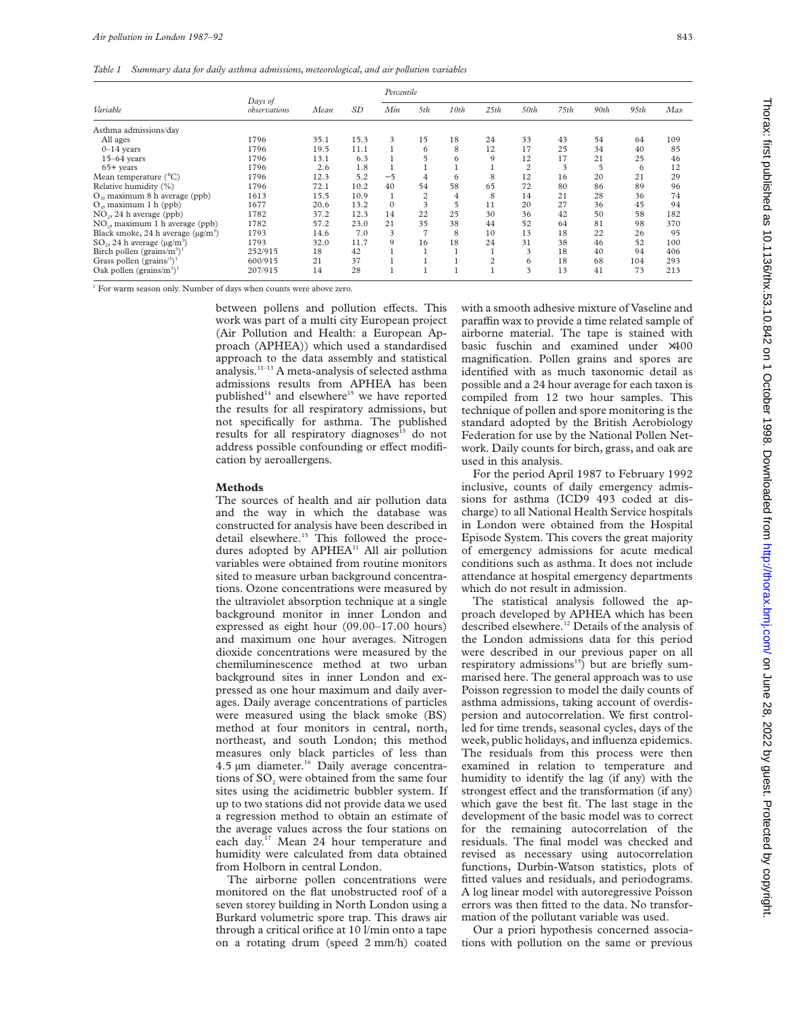*Table 1 Summary data for daily asthma admissions, meteorological, and air pollution variables*

|                                                  |                         |      |      | Percentile |                |      |                |                |      |      |      |     |
|--------------------------------------------------|-------------------------|------|------|------------|----------------|------|----------------|----------------|------|------|------|-----|
| Variable                                         | Days of<br>observations | Mean | SD   | Min        | 5th            | 10th | 25th           | 50th           | 75th | 90th | 95th | Max |
| Asthma admissions/day                            |                         |      |      |            |                |      |                |                |      |      |      |     |
| All ages                                         | 1796                    | 35.1 | 15.3 | 3          | 15             | 18   | 24             | 33             | 43   | 54   | 64   | 109 |
| $0-14$ years                                     | 1796                    | 19.5 | 11.1 |            | 6              | 8    | 12             | 17             | 25   | 34   | 40   | 85  |
| $15-64$ years                                    | 1796                    | 13.1 | 6.3  |            | 5              | 6    | 9              | 12             | 17   | 21   | 25   | 46  |
| $65+$ vears                                      | 1796                    | 2.6  | 1.8  |            |                |      |                | $\overline{2}$ | 3    |      | 6    | 12  |
| Mean temperature $(^{\circ}C)$                   | 1796                    | 12.3 | 5.2  | $-5$       | 4              | 6    | 8              | 12             | 16   | 20   | 21   | 29  |
| Relative humidity (%)                            | 1796                    | 72.1 | 10.2 | 40         | 54             | 58   | 65             | 72             | 80   | 86   | 89   | 96  |
| $O3$ , maximum 8 h average (ppb)                 | 1613                    | 15.5 | 10.9 |            | $\overline{c}$ | 4    | 8              | 14             | 21   | 28   | 36   | 74  |
| $O3$ , maximum 1 h (ppb)                         | 1677                    | 20.6 | 13.2 | $\Omega$   | 3              |      | 11             | 20             | 27   | 36   | 45   | 94  |
| $NO2$ , 24 h average (ppb)                       | 1782                    | 37.2 | 12.3 | 14         | 22             | 25   | 30             | 36             | 42   | 50   | 58   | 182 |
| $NO2$ , maximum 1 h average (ppb)                | 1782                    | 57.2 | 23.0 | 2.1        | 35             | 38   | 44             | 52             | 64   | 81   | 98   | 370 |
| Black smoke, 24 h average $(\mu g/m^3)$          | 1793                    | 14.6 | 7.0  | 3          | $\overline{ }$ | 8    | 10             | 13             | 18   | 22   | 26   | 95  |
| $SO_2$ , 24 h average ( $\mu$ g/m <sup>3</sup> ) | 1793                    | 32.0 | 11.7 | 9          | 16             | 18   | 24             | 31             | 38   | 46   | 52   | 100 |
| Birch pollen (grains/ $m^3$ ) <sup>1</sup>       | 252/915                 | 18   | 42   |            |                |      |                | 3              | 18   | 40   | 94   | 406 |
| Grass pollen (grains/ $3$ )                      | 600/915                 | 21   | 37   |            |                |      | $\overline{2}$ | 6              | 18   | 68   | 104  | 293 |
| Oak pollen (grains/ $m^3$ ) <sup>1</sup>         | 207/915                 | 14   | 28   |            |                |      |                | 3              | 13   | 41   | 73   | 213 |

<sup>1</sup> For warm season only. Number of days when counts were above zero.

between pollens and pollution effects. This work was part of a multi city European project (Air Pollution and Health: a European Approach (APHEA)) which used a standardised approach to the data assembly and statistical analysis.11–13 A meta-analysis of selected asthma admissions results from APHEA has been published $14$  and elsewhere $15$  we have reported the results for all respiratory admissions, but not specifically for asthma. The published results for all respiratory diagnoses<sup>15</sup> do not address possible confounding or effect modification by aeroallergens.

#### **Methods**

The sources of health and air pollution data and the way in which the database was constructed for analysis have been described in detail elsewhere.<sup>15</sup> This followed the procedures adopted by APHEA<sup>11</sup> All air pollution variables were obtained from routine monitors sited to measure urban background concentrations. Ozone concentrations were measured by the ultraviolet absorption technique at a single background monitor in inner London and expressed as eight hour (09.00–17.00 hours) and maximum one hour averages. Nitrogen dioxide concentrations were measured by the chemiluminescence method at two urban background sites in inner London and expressed as one hour maximum and daily averages. Daily average concentrations of particles were measured using the black smoke (BS) method at four monitors in central, north, northeast, and south London; this method measures only black particles of less than 4.5 µm diameter.<sup>16</sup> Daily average concentrations of SO<sub>2</sub> were obtained from the same four sites using the acidimetric bubbler system. If up to two stations did not provide data we used a regression method to obtain an estimate of the average values across the four stations on each day.<sup>17</sup> Mean 24 hour temperature and humidity were calculated from data obtained from Holborn in central London.

The airborne pollen concentrations were monitored on the flat unobstructed roof of a seven storey building in North London using a Burkard volumetric spore trap. This draws air through a critical orifice at 10 l/min onto a tape on a rotating drum (speed 2 mm/h) coated

with a smooth adhesive mixture of Vaseline and paraffin wax to provide a time related sample of airborne material. The tape is stained with basic fuschin and examined under ×400 magnification. Pollen grains and spores are identified with as much taxonomic detail as possible and a 24 hour average for each taxon is compiled from 12 two hour samples. This technique of pollen and spore monitoring is the standard adopted by the British Aerobiology Federation for use by the National Pollen Network. Daily counts for birch, grass, and oak are used in this analysis.

For the period April 1987 to February 1992 inclusive, counts of daily emergency admissions for asthma (ICD9 493 coded at discharge) to all National Health Service hospitals in London were obtained from the Hospital Episode System. This covers the great majority of emergency admissions for acute medical conditions such as asthma. It does not include attendance at hospital emergency departments which do not result in admission.

The statistical analysis followed the approach developed by APHEA which has been described elsewhere.12 Details of the analysis of the London admissions data for this period were described in our previous paper on all respiratory admissions<sup>15</sup>) but are briefly summarised here. The general approach was to use Poisson regression to model the daily counts of asthma admissions, taking account of overdispersion and autocorrelation. We first controlled for time trends, seasonal cycles, days of the week, public holidays, and influenza epidemics. The residuals from this process were then examined in relation to temperature and humidity to identify the lag (if any) with the strongest effect and the transformation (if any) which gave the best fit. The last stage in the development of the basic model was to correct for the remaining autocorrelation of the residuals. The final model was checked and revised as necessary using autocorrelation functions, Durbin-Watson statistics, plots of fitted values and residuals, and periodograms. A log linear model with autoregressive Poisson errors was then fitted to the data. No transformation of the pollutant variable was used.

Our a priori hypothesis concerned associations with pollution on the same or previous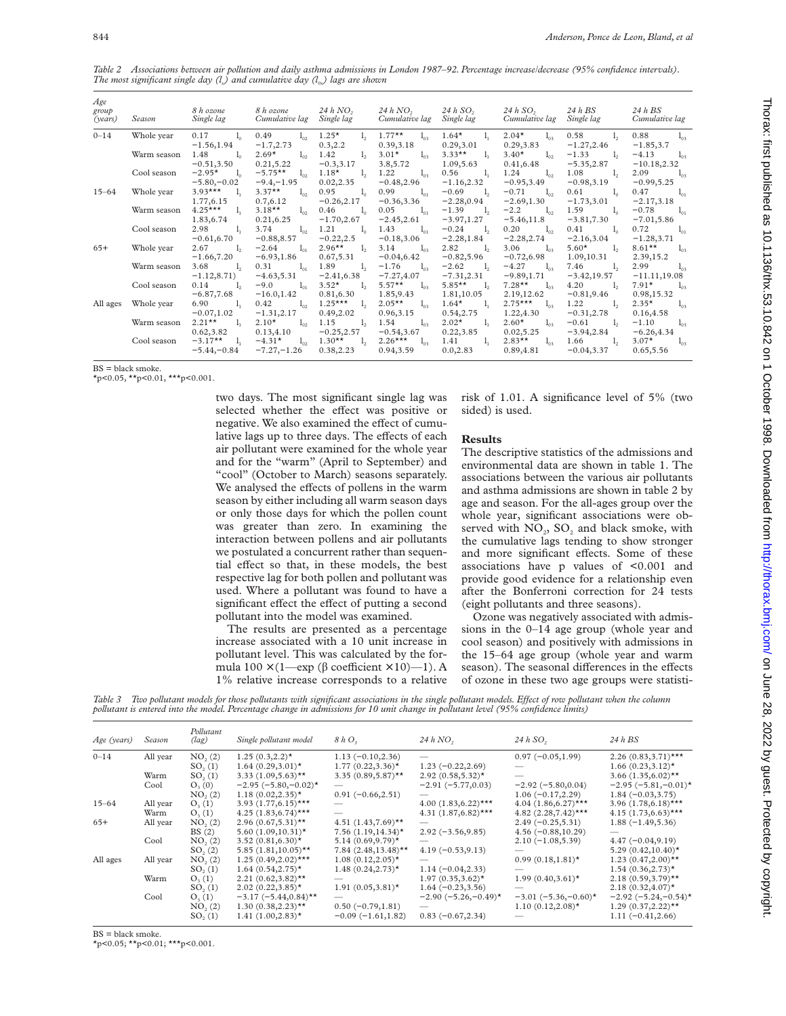*Table 2 Associations between air pollution and daily asthma admissions in London 1987–92. Percentage increase/decrease (95% confidence intervals). The most significant single day (l<sub>x</sub>) and cumulative day (l<sub>ox</sub>) lags are shown* 

| Age<br>group<br>(years) | Season      | 8 h ozone<br>Single lag | 8 h ozone<br>Cumulative lag | $24h$ NO <sub>2</sub><br>Single lag | 24hNO <sub>2</sub><br>Cumulative lag | $24h$ SO <sub>2</sub><br>Single lag | $24h$ SO,<br>Cumulative lag Single lag | 24 h BS         | 24 h BS<br>Cumulative lag |
|-------------------------|-------------|-------------------------|-----------------------------|-------------------------------------|--------------------------------------|-------------------------------------|----------------------------------------|-----------------|---------------------------|
| $0 - 14$                | Whole year  | $0.17 \t l0$            | 0.49<br>$l_{\alpha2}$       | $1.25*$<br>$l_{2}$                  | $1.77**$ $l_{03}$                    | $1.64^{\star}$ $1_{1}$              | $2.04*$<br>$l_{03}$                    | $0.58$ $1_{2}$  | $0.88 \t l_{03}$          |
|                         |             | $-1.56, 1.94$           | $-1.7,2.73$                 | 0.3, 2.2                            | 0.39, 3.18                           | 0.29,3.01                           | 0.29,3.83                              | $-1.27,2.46$    | $-1.85, 3.7$              |
|                         | Warm season | 1.48<br>$1_{0}$         | $2.69*$<br>$l_{02}$         | 1.42<br>$l_{2}$                     | $3.01*$<br>$1_{03}$                  | 3.33** $l_1$                        | $3.40*$<br>$l_{02}$                    | $-1.33$ $1,$    | $-4.13$ $l_{03}$          |
|                         |             | $-0.51, 3.50$           | 0.21, 5.22                  | $-0.3,3.17$                         | 3.8,5.72                             | 1.09,5.63                           | 0.41,6.48                              | $-5.35,2.87$    | $-10.18, 2.32$            |
|                         | Cool season | $-2.95*$ $l_0$          | $-5.75**$ $l_{02}$          | $1.18*$<br>$l_{2}$                  | 1.22 $l_{03}$                        | $0.56 \t l_1$                       | 1.24 $l_{02}$                          | $1.08$ $1,$     | 2.09<br>$l_{03}$          |
|                         |             | $-5.80,-0.02$           | $-9.4, -1.95$               | 0.02, 2.35                          | $-0.48,2.96$                         | $-1.16, 2.32$                       | $-0.95,3.49$                           | $-0.98,3.19$    | $-0.99,5.25$              |
| $15 - 64$               | Whole year  | 3.93*** $l_1$           | $3.37**$<br>$l_{02}$        | 0.95<br>$1_{0}$                     | 0.99 $l_{01}$                        | $-0.69$ $1_{2}$                     | $-0.71$ $l_{02}$                       | $0.61 \t l_0$   | $0.47 \t l_{01}$          |
|                         |             | 1.77,6.15               | 0.7,6.12                    | $-0.26, 2.17$                       | $-0.36,3.36$                         | $-2.28, 0.94$                       | $-2.69, 1.30$                          | $-1.73,3.01$    | $-2.17,3.18$              |
|                         | Warm season | $4.25***$ $1,$          | $3.18**$<br>$l_{02}$        | 0.46<br>$l_0$                       | 0.05<br>$1_{01}$                     | $-1.39$<br>$l_{2}$                  | $-2.2$ $l_{02}$                        | 1.59 $l_0$      | $-0.78$ $l_{01}$          |
|                         |             | 1.83,6.74               | 0.21,6.25                   | $-1.70, 2.67$                       | $-2.45, 2.61$                        | $-3.97, 1.27$                       | $-5.46, 11.8$                          | $-3.81,7.30$    | $-7.01,5.86$              |
|                         | Cool season | 2.98<br>1,              | 3.74<br>$l_{02}$            | 1.21<br>$1_{0}$                     | 1.43<br>$1_{01}$                     | $-0.24$ $1,$                        | 0.20<br>$l_{02}$                       | 0.41<br>$l_0$   | 0.72<br>$l_{01}$          |
|                         |             | $-0.61, 6.70$           | $-0.88, 8.57$               | $-0.22, 2.5$                        | $-0.18,3.06$                         | $-2.28, 1.84$                       | $-2.28, 2.74$                          | $-2.16,3.04$    | $-1.28,3.71$              |
| $65+$                   | Whole year  | 2.67<br>1,              | $-2.64$ $l_{01}$            | 2.96** $l_2$                        | 3.14 $l_{03}$                        | 2.82 $1,$                           | 3.06 $l_{03}$                          | 5.60* $l_2$     | 8.61** $l_{03}$           |
|                         |             | $-1.66, 7.20$           | $-6.93, 1.86$               | 0.67,5.31                           | $-0.04, 6.42$                        | $-0.82,5.96$                        | $-0.72, 6.98$                          | 1.09,10.31      | 2.39, 15.2                |
|                         | Warm season | 3.68<br>$l_{2}$         | 0.31<br>$1_{01}$            | 1.89<br>$l_{2}$                     | $-1.76$ $l_{03}$                     | $-2.62$<br>1,                       | $-4.27$ $l_{03}$                       | 7.46 $l_2$      | 2.99<br>$1_{03}$          |
|                         |             | $-1.12, 8.71)$          | $-4.63,5.31$                | $-2.41,6.38$                        | $-7.27, 4.07$                        | $-7.31, 2.31$                       | $-9.89, 1.71$                          | $-3.42, 19.57$  | $-11.11,19.08$            |
|                         | Cool season | $l_{2}$<br>0.14         | $-9.0$<br>$l_{01}$          | $3.52*$<br>$l_{2}$                  | $5.57**$<br>$l_{03}$                 | $5.85**$<br>$l_{2}$                 | $7.28**$<br>$1_{03}$                   | 4.20<br>$l_{2}$ | $7.91*$<br>$l_{03}$       |
|                         |             | $-6.87,7.68$            | $-16.0, 1.42$               | 0.81,6.30                           | 1.85,9.43                            | 1.81,10.05                          | 2.19,12.62                             | $-0.81, 9.46$   | 0.98,15.32                |
| All ages                | Whole year  | 6.90<br>$1_{1}$         | 0.42 $l_{02}$               | $1.25***$ $1,$                      | $2.05**$ $l_{03}$                    | $1.64^{\star}$ $1_{1}$              | $2.75***$ $1_{03}$                     | $1.22 \quad 1,$ | $2.35^*$ $l_{03}$         |
|                         |             | $-0.07, 1.02$           | $-1.31, 2.17$               | 0.49,2.02                           | 0.96,3.15                            | 0.54, 2.75                          | 1.22,4.30                              | $-0.31, 2.78$   | 0.16,4.58                 |
|                         | Warm season | 2.21** $l_1$            | $2.10*$<br>$l_{02}$         | 1.15                                | $l_2$ 1.54 $l_{03}$                  | $2.02*$<br>$1_{1}$                  | $2.60^*$ $l_{03}$                      | $-0.61$ $1,$    | $-1.10$ $l_{03}$          |
|                         |             | 0.62, 3.82              | 0.13,4.10                   | $-0.25, 2.57$                       | $-0.54, 3.67$                        | 0.22, 3.85                          | 0.02, 5.25                             | $-3.94, 2.84$   | $-6.26, 4.34$             |
|                         | Cool season | $-3.17**$ 1,            | $-4.31^{\star}$ $l_{02}$    | 1.30** 1, 2.26*** 1 <sub>03</sub>   |                                      | $1.41 \t l_1$                       | 2.83** $l_{03}$                        | 1.66<br>$l_{2}$ | $3.07*$<br>$l_{03}$       |
|                         |             |                         | $-5.44,-0.84$ $-7.27,-1.26$ | 0.38,2.23                           | 0.94,3.59                            | 0.0, 2.83                           | 0.89,4.81                              | $-0.04, 3.37$   | 0.65,5.56                 |

BS = black smoke.

 $\star$ p<0.05,  $\star\star$ p<0.01,  $\star\star\star$ p<0.001.

two days. The most significant single lag was selected whether the effect was positive or negative. We also examined the effect of cumulative lags up to three days. The effects of each air pollutant were examined for the whole year and for the "warm" (April to September) and "cool" (October to March) seasons separately. We analysed the effects of pollens in the warm season by either including all warm season days or only those days for which the pollen count was greater than zero. In examining the interaction between pollens and air pollutants we postulated a concurrent rather than sequential effect so that, in these models, the best respective lag for both pollen and pollutant was used. Where a pollutant was found to have a significant effect the effect of putting a second pollutant into the model was examined.

The results are presented as a percentage increase associated with a 10 unit increase in pollutant level. This was calculated by the formula  $100 \times (1 - \exp (\beta \text{ coefficient} \times 10) - 1)$ . A 1% relative increase corresponds to a relative

risk of 1.01. A significance level of 5% (two sided) is used.

#### **Results**

The descriptive statistics of the admissions and environmental data are shown in table 1. The associations between the various air pollutants and asthma admissions are shown in table 2 by age and season. For the all-ages group over the whole year, significant associations were observed with  $NO<sub>2</sub>$ ,  $SO<sub>2</sub>$  and black smoke, with the cumulative lags tending to show stronger and more significant effects. Some of these associations have p values of <0.001 and provide good evidence for a relationship even after the Bonferroni correction for 24 tests (eight pollutants and three seasons).

Ozone was negatively associated with admissions in the 0–14 age group (whole year and cool season) and positively with admissions in the 15–64 age group (whole year and warm season). The seasonal differences in the effects of ozone in these two age groups were statisti-

Table 3 Two pollutant models for those pollutants with significant associations in the single pollutant models. Effect of row pollutant when the column *pollutant is entered into the model. Percentage change in admissions for 10 unit change in pollutant level (95% confidence limits)*

| Age (years) | Season   | Pollutant<br>$\left(\text{lag}\right)$ | Single pollutant model            | 8hO <sub>3</sub>            | 24hNO <sub>2</sub>              | $24h$ SO <sub>2</sub>    | $24h$ BS                          |
|-------------|----------|----------------------------------------|-----------------------------------|-----------------------------|---------------------------------|--------------------------|-----------------------------------|
| $0 - 14$    | All year | NO <sub>2</sub> (2)                    | $1.25(0.3, 2.2)$ *                | $1.13(-0.10, 2.36)$         |                                 | $0.97(-0.05,1.99)$       | $2.26(0.83,3.71)$ ***             |
|             |          | SO <sub>2</sub> (1)                    | $1.64(0.29,3.01)$ *               | $1.77(0.22, 3.36)$ *        | $1.23(-0.22, 2.69)$             |                          | $1.66(0.23, 3.12)$ *              |
|             | Warm     | SO <sub>2</sub> (1)                    | 3.33 $(1.09,5.63)$ **             | $3.35(0.89, 5.87)$ **       | $2.92(0.58, 5.32)$ *            | $\overline{\phantom{0}}$ | 3.66 $(1.35, 6.02)$ **            |
|             | Cool     | $O_{3}(0)$                             | $-2.95 (-5.80,-0.02)$ *           |                             | $-2.91(-5.77, 0.03)$            | $-2.92(-5.80, 0.04)$     | $-2.95(-5.81,-0.01)$ *            |
|             |          | NO <sub>2</sub> (2)                    | $1.18(0.02, 2.35)^{\star}$        | $0.91(-0.66, 2.51)$         |                                 | $1.06(-0.17, 2.29)$      | $1.84 (-0.03, 3.75)$              |
| $15 - 64$   | All year | $O_{2}(1)$                             | $3.93$ $(1.77,6.15)$ ***          |                             | 4.00 $(1.83, 6.22)$ ***         | 4.04 $(1.86, 6.27)$ ***  | 3.96 $(1.78, 6.18)$ ***           |
|             | Warm     | $O_{3}(1)$                             | $4.25$ $(1.83, 6.74)$ ***         |                             | 4.31 $(1.87, 6.82)$ ***         | 4.82 $(2.28, 7.42)$ ***  | $4.15(1.73,6.63)$ ***             |
| $65+$       | All year | NO <sub>2</sub> (2)                    | $2.96(0.67,5.31)$ **              | 4.51 $(1.43, 7.69)$ **      | $\hspace{0.05cm}$               | $2.49(-0.25,5.31)$       | $1.88(-1.49, 5.36)$               |
|             |          | BS(2)                                  | 5.60 $(1.09, 10.31)$ *            | $7.56(1.19, 14.34)^{\star}$ | $2.92(-3.56, 9.85)$             | $4.56(-0.88, 10.29)$     |                                   |
|             | Cool     | NO <sub>2</sub> (2)                    | 3.52 $(0.81, 6.30)$ *             | $5.14(0.69, 9.79)$ *        | $\hspace{0.1mm}-\hspace{0.1mm}$ | $2.10(-1.08, 5.39)$      | $4.47(-0.04, 9.19)$               |
|             |          | SO <sub>2</sub> (2)                    | 5.85 $(1.81, 10.05)$ **           | $7.84(2.48,13.48)$ **       | $4.19(-0.53, 9.13)$             |                          | 5.29 $(0.42, 10.40)$ <sup>*</sup> |
| All ages    | All year | NO <sub>2</sub> (2)                    | $1.25(0.49,2.02)$ ***             | $1.08(0.12, 2.05)$ *        |                                 | $0.99(0.18, 1.81)$ *     | $1.23$ $(0.47,2.00)$ **           |
|             |          | SO <sub>2</sub> (1)                    | $1.64(0.54, 2.75)$ *              | $1.48(0.24, 2.73)$ *        | $1.14(-0.04, 2.33)$             |                          | $1.54(0.36, 2.73)$ *              |
|             | Warm     | $O_{3}(1)$                             | 2.21 $(0.62,3.82)$ **             |                             | $1.97(0.35, 3.62)$ *            | $1.99(0.40, 3.61)$ *     | $2.18(0.59, 3.79)$ **             |
|             |          | SO <sub>2</sub> (1)                    | $2.02(0.22, 3.85)^{\star}$        | $1.91(0.05, 3.81)$ *        | $1.64(-0.23,3.56)$              |                          | $2.18(0.32, 4.07)$ *              |
|             | Cool     | $O_3(1)$                               | $-3.17 (-5.44, 0.84)$ **          |                             | $-2.90(-5.26,-0.49)$ *          | $-3.01 (-5.36,-0.60)^*$  | $-2.92(-5.24,-0.54)$ *            |
|             |          | NO <sub>2</sub> (2)                    | 1.30 $(0.38, 2.23)$ <sup>**</sup> | $0.50(-0.79, 1.81)$         |                                 | $1.10(0.12, 2.08)$ *     | $1.29(0.37, 2.22)$ **             |
|             |          | $SO_{2}(1)$                            | $1.41 (1.00, 2.83)$ *             | $-0.09(-1.61, 1.82)$        | $0.83(-0.67, 2.34)$             |                          | $1.11(-0.41, 2.66)$               |

BS = black smoke.

 $\star$ p<0.05;  $\star\star$ p<0.01;  $\star\star\star$ p<0.001.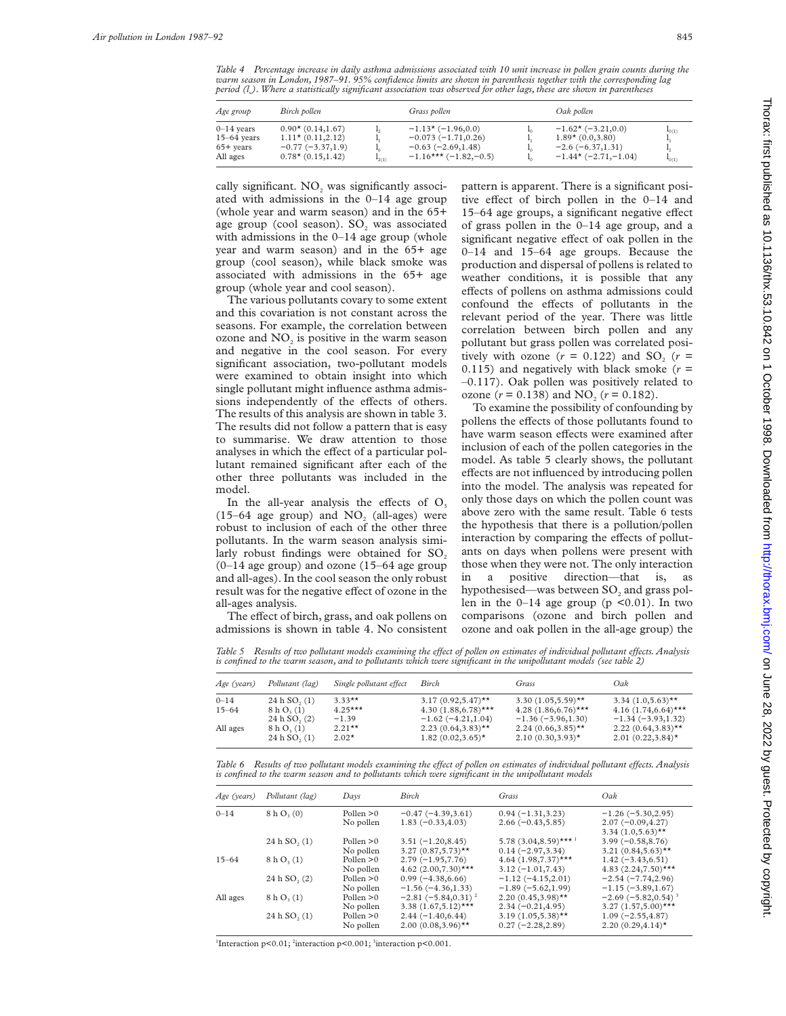*Table 4 Percentage increase in daily asthma admissions associated with 10 unit increase in pollen grain counts during the warm season in London, 1987–91. 95% confidence limits are shown in parenthesis together with the corresponding lag period (l<sub>x</sub>). Where a statistically significant association was observed for other lags, these are shown in parentheses* 

| Age group                                                | Birch pollen                                                                          |            | Grass pollen                                                                                          | Oak pollen                                                                                            |                          |
|----------------------------------------------------------|---------------------------------------------------------------------------------------|------------|-------------------------------------------------------------------------------------------------------|-------------------------------------------------------------------------------------------------------|--------------------------|
| $0 - 14$ years<br>$15-64$ years<br>65+ years<br>All ages | $0.90*$ (0.14,1.67)<br>$1.11*(0.11,2.12)$<br>$-0.77(-3.37,1.9)$<br>$0.78*(0.15,1.42)$ | $I_{2(1)}$ | $-1.13 \times (-1.96, 0.0)$<br>$-0.073(-1.71, 0.26)$<br>$-0.63(-2.69,1.48)$<br>$-1.16***(-1.82,-0.5)$ | $-1.62 \star (-3.21, 0.0)$<br>$1.89*(0.03.80)$<br>$-2.6(-6.37, 1.31)$<br>$-1.44 \star (-2.71, -1.04)$ | $I_{0(1)}$<br>$I_{0(1)}$ |

cally significant. NO<sub>2</sub> was significantly associated with admissions in the 0–14 age group (whole year and warm season) and in the 65+ age group (cool season).  $SO<sub>2</sub>$  was associated with admissions in the 0–14 age group (whole year and warm season) and in the 65+ age group (cool season), while black smoke was associated with admissions in the 65+ age group (whole year and cool season).

The various pollutants covary to some extent and this covariation is not constant across the seasons. For example, the correlation between ozone and  $NO<sub>2</sub>$  is positive in the warm season and negative in the cool season. For every significant association, two-pollutant models were examined to obtain insight into which single pollutant might influence asthma admissions independently of the effects of others. The results of this analysis are shown in table 3. The results did not follow a pattern that is easy to summarise. We draw attention to those analyses in which the effect of a particular pollutant remained significant after each of the other three pollutants was included in the model.

In the all-year analysis the effects of  $O<sub>3</sub>$  $(15-64$  age group) and NO<sub>2</sub> (all-ages) were robust to inclusion of each of the other three pollutants. In the warm season analysis similarly robust findings were obtained for  $SO<sub>2</sub>$ (0–14 age group) and ozone (15–64 age group and all-ages). In the cool season the only robust result was for the negative effect of ozone in the all-ages analysis.

The effect of birch, grass, and oak pollens on admissions is shown in table 4. No consistent pattern is apparent. There is a significant positive effect of birch pollen in the  $0-14$  and 15-64 age groups, a significant negative effect of grass pollen in the 0–14 age group, and a significant negative effect of oak pollen in the 0–14 and 15–64 age groups. Because the production and dispersal of pollens is related to weather conditions, it is possible that any effects of pollens on asthma admissions could confound the effects of pollutants in the relevant period of the year. There was little correlation between birch pollen and any pollutant but grass pollen was correlated positively with ozone  $(r = 0.122)$  and SO<sub>2</sub>  $(r =$ 0.115) and negatively with black smoke  $(r =$ –0.117). Oak pollen was positively related to ozone  $(r = 0.138)$  and NO<sub>2</sub>  $(r = 0.182)$ .

To examine the possibility of confounding by pollens the effects of those pollutants found to have warm season effects were examined after inclusion of each of the pollen categories in the model. As table 5 clearly shows, the pollutant effects are not influenced by introducing pollen into the model. The analysis was repeated for only those days on which the pollen count was above zero with the same result. Table 6 tests the hypothesis that there is a pollution/pollen interaction by comparing the effects of pollutants on days when pollens were present with those when they were not. The only interaction in a positive direction—that is, as hypothesised—was between  $SO<sub>2</sub>$  and grass pollen in the  $0-14$  age group (p <0.01). In two comparisons (ozone and birch pollen and ozone and oak pollen in the all-age group) the

*Table 5 Results of two pollutant models examining the effect of pollen on estimates of individual pollutant effects. Analysis is confined to the warm season, and to pollutants which were significant in the unipollutant models (see table 2)*

| Age (years) | Pollutant (lag)                                    | Single pollutant effect | Birch                                          | Grass                                          | Oak                                           |
|-------------|----------------------------------------------------|-------------------------|------------------------------------------------|------------------------------------------------|-----------------------------------------------|
| $0 - 14$    | 24 h SO <sub>2</sub> (1)                           | $3.33***$               | $3.17(0.92,5.47)$ **                           | 3.30 $(1.05,5.59)$ **                          | 3.34 $(1.0,5.63)$ **                          |
| $15 - 64$   | 8 h O <sub>3</sub> (1)<br>24 h SO <sub>2</sub> (2) | $4.25***$<br>$-1.39$    | $4.30(1.88, 6.78)$ ***<br>$-1.62(-4.21, 1.04)$ | $4.28(1.86, 6.76)$ ***<br>$-1.36(-3.96, 1.30)$ | $4.16(1.74.6.64)$ ***<br>$-1.34(-3.93, 1.32)$ |
| All ages    | 8 h O <sub>3</sub> (1)<br>24 h SO <sub>2</sub> (1) | $2.21**$<br>$2.02*$     | $2.23(0.64,3.83)$ **<br>$1.82(0.02, 3.65)$ *   | $2.24(0.66,3.85)$ **<br>$2.10(0.30, 3.93)$ *   | $2.22(0.64, 3.83)$ **<br>$2.01(0.22, 3.84)$ * |

*Table 6 Results of two pollutant models examining the eVect of pollen on estimates of individual pollutant eVects. Analysis is confined to the warm season and to pollutants which were significant in the unipollutant models*

| Age (years) | Pollutant (lag)         | Days                     | Birch                                           | Grass                                                       | Oak                                                                   |
|-------------|-------------------------|--------------------------|-------------------------------------------------|-------------------------------------------------------------|-----------------------------------------------------------------------|
| $0 - 14$    | 8 h O <sub>3</sub> (0)  | Pollen $>0$<br>No pollen | $-0.47(-4.39,3.61)$<br>$1.83(-0.33, 4.03)$      | $0.94(-1.31,3.23)$<br>$2.66(-0.43, 5.85)$                   | $-1.26(-5.30, 2.95)$<br>$2.07(-0.09, 4.27)$<br>$3.34$ $(1.0,5.63)$ ** |
|             | 24h SO <sub>2</sub> (1) | Pollen $>0$<br>No pollen | $3.51(-1.20, 8.45)$<br>$3.27(0.87,5.73)$ **     | 5.78 $(3.04, 8.59)$ *** <sup>1</sup><br>$0.14(-2.97, 3.34)$ | $3.99(-0.58, 8.76)$<br>3.21 $(0.84, 5.63)$ **                         |
| $15 - 64$   | 8 h O <sub>3</sub> (1)  | Pollen $>0$<br>No pollen | $2.79(-1.95,7.76)$<br>4.62 $(2.00, 7.30)$ ***   | $4.64$ (1.98,7.37)***<br>$3.12(-1.01, 7.43)$                | $1.42(-3.43, 6.51)$<br>$4.83$ $(2.24,7.50)$ ***                       |
|             | 24h SO, (2)             | Pollen $>0$<br>No pollen | $0.99(-4.38, 6.66)$<br>$-1.56(-4.36, 1.33)$     | $-1.12(-4.15, 2.01)$<br>$-1.89(-5.62, 1.99)$                | $-2.54(-7.74, 2.96)$<br>$-1.15(-3.89,1.67)$                           |
| All ages    | 8 h O <sub>3</sub> (1)  | Pollen $>0$<br>No pollen | $-2.81(-5.84, 0.31)^2$<br>$3.38(1.67,5.12)$ *** | $2.20(0.45,3.98)$ **<br>$2.34(-0.21, 4.95)$                 | $-2.69(-5.82, 0.54)^{3}$<br>$3.27$ $(1.57,5.00)$ ***                  |
|             | 24h SO <sub>2</sub> (1) | Pollen $>0$<br>No pollen | $2.44(-1.40, 6.44)$<br>$2.00(0.08, 3.96)$ **    | $3.19(1.05,5.38)$ **<br>$0.27 (-2.28, 2.89)$                | $1.09(-2.55, 4.87)$<br>2.20 $(0.29, 4.14)$ <sup>*</sup>               |

<sup>1</sup>Interaction p<0.01; <sup>2</sup>interaction p<0.001; <sup>3</sup>interaction p<0.001.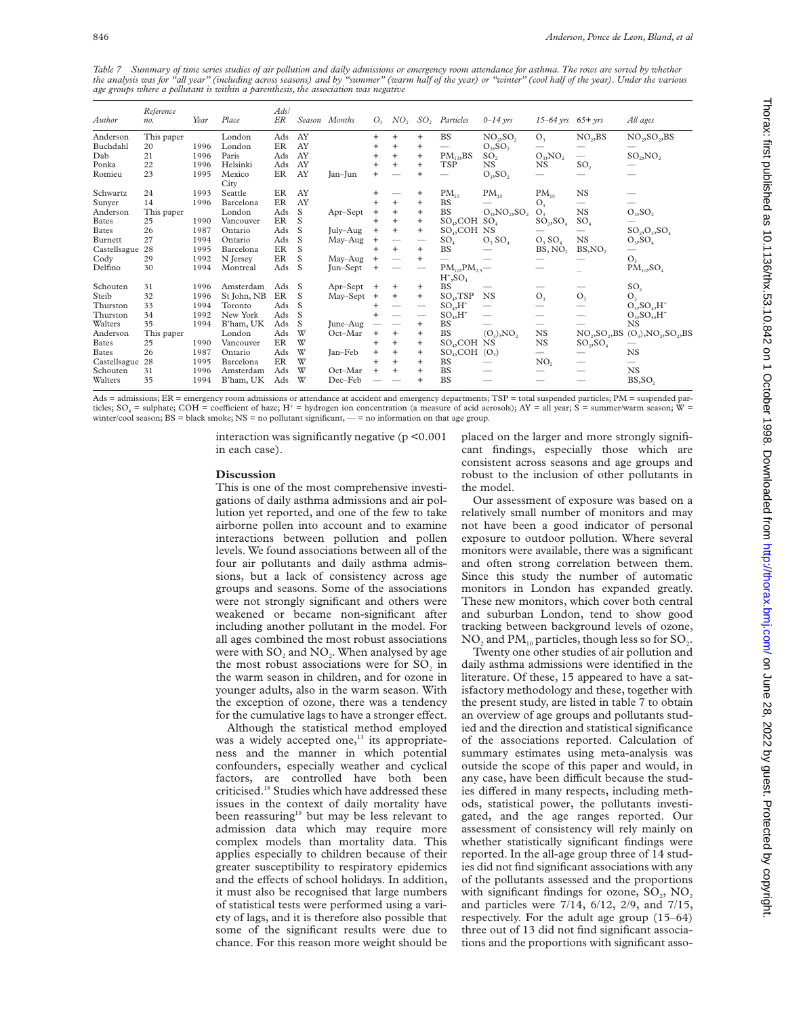Table 7 Summary of time series studies of air pollution and daily admissions or emergency room attendance for asthma. The rows are sorted by whether<br>the analysis was for "all year" (including across seasons) and by "summer *age groups where a pollutant is within a parenthesis, the association was negative*

| Author       | Reference<br>no. | Year | Place          | Ads/<br>ER |              | Season Months | O <sub>2</sub> | NO <sub>2</sub>                  |                                  | SO <sub>2</sub> Particles                  | $0 - 14$ yrs                      | $15-64$ yrs $65+$ yrs          |                                        | All ages                               |
|--------------|------------------|------|----------------|------------|--------------|---------------|----------------|----------------------------------|----------------------------------|--------------------------------------------|-----------------------------------|--------------------------------|----------------------------------------|----------------------------------------|
| Anderson     | This paper       |      | London         | Ads        | AY           |               |                | $^{+}$                           | $\ddot{}$                        | <b>BS</b>                                  | NO <sub>2</sub> , SO <sub>2</sub> | O <sub>3</sub>                 | NO <sub>2</sub> , BS                   | NO <sub>2</sub> , SO <sub>2</sub> , BS |
| Buchdahl     | 20               | 1996 | London         | ER         | AY           |               | $\div$         | $^{+}$                           | $\ddot{}$                        | $\qquad \qquad$                            | $O_3, SO_2$                       |                                |                                        |                                        |
| Dab          | 21               | 1996 | Paris          | Ads        | AY           |               |                | $^{+}$                           | $\ddot{}$                        | $PM_{13}$ , BS                             | SO <sub>2</sub>                   | $O_3$ , $NO_2$                 |                                        | $SO_2, NO_2$                           |
| Ponka        | 22               | 1996 | Helsinki       | Ads        | AY           |               |                | $+$                              | $\ddot{}$                        | <b>TSP</b>                                 | NS                                | <b>NS</b>                      | SO <sub>2</sub>                        |                                        |
| Romieu       | 23               | 1995 | Mexico<br>City | ER         | AY           | Jan-Jun       |                |                                  | $\ddot{}$                        | $\overline{\phantom{0}}$                   | $O_3, SO_2$                       | $\overline{\phantom{0}}$       |                                        |                                        |
| Schwartz     | 24               | 1993 | Seattle        | ER         | AY           |               |                |                                  | $\ddot{}$                        | $PM_{10}$                                  | $PM_{10}$                         | $PM_{10}$                      | NS                                     |                                        |
| Sunyer       | 14               | 1996 | Barcelona      | ER         | AY           |               |                | $^{+}$                           | $+$                              | <b>BS</b>                                  |                                   | O <sub>3</sub>                 | $\overline{\phantom{0}}$               |                                        |
| Anderson     | This paper       |      | London         | Ads        | S            | Apr-Sept      | +              | $\ddot{}$                        | $\ddot{}$                        | <b>BS</b>                                  | $O_3$ , $NO_2$ , $SO_2$           | O <sub>3</sub>                 | $_{NS}$                                | $O_3$ , $SO_2$                         |
| <b>Bates</b> | 25               | 1990 | Vancouver      | ER         | S            |               |                | $+$                              | $\begin{array}{c} + \end{array}$ | $SO_4$ , COH $SO_4$                        |                                   | $SO_2, SO_4$                   | SO <sub>4</sub>                        |                                        |
| <b>Bates</b> | 26               | 1987 | Ontario        | Ads        | <sub>S</sub> | July-Aug      | $\ddot{}$      | $\ddot{}$                        | $+$                              | SO <sub>4</sub> , COH NS                   |                                   |                                |                                        | $SO_2, O_3, SO_4$                      |
| Burnett      | 27               | 1994 | Ontario        | Ads        | S            | May-Aug       |                |                                  |                                  | SO <sub>4</sub>                            | $O_3 SO_4$                        | O <sub>3</sub> SO <sub>4</sub> | $_{NS}$                                | $O_3$ , $SO_4$                         |
| Castellsague | 28               | 1995 | Barcelona      | ER         | S            |               | $\ddot{}$      | $+$                              | $^{+}$                           | BS                                         |                                   | BS, NO <sub>2</sub>            | BS, NO,                                | -                                      |
| Cody         | 29               | 1992 | N Jersey       | ER         | S            | May-Aug       | $^{+}$         |                                  | $\ddot{}$                        | $\overline{\phantom{0}}$                   |                                   |                                |                                        | O <sub>3</sub>                         |
| Delfino      | 30               | 1994 | Montreal       | Ads        | <sub>S</sub> | Jun-Sept      |                |                                  |                                  | $PM_{10}$ , $PM_{2.5}$ —<br>$H^*$ , $SO_4$ |                                   |                                |                                        | $PM_{10}$ , $SO_4$                     |
| Schouten     | 31               | 1996 | Amsterdam      | Ads        | - S          | Apr-Sept      |                | $\ddot{}$                        | $\ddot{}$                        | <b>BS</b>                                  |                                   |                                |                                        | SO <sub>2</sub>                        |
| Steib        | 32               | 1996 | St John, NB    | ER         | <sub>S</sub> | May-Sept      | $\ddot{}$      | $^{+}$                           | $+$                              | $SO_4$ , TSP                               | <b>NS</b>                         | O <sub>3</sub>                 | O <sub>3</sub>                         | O <sub>3</sub>                         |
| Thurston     | 33               | 1994 | Toronto        | Ads        | <sub>S</sub> |               |                |                                  |                                  | $SO_4,H^+$                                 | $\overline{\phantom{0}}$          |                                |                                        | $O_3$ , $SO_4$ , $H^+$                 |
| Thurston     | 34               | 1992 | New York       | Ads        | <sub>S</sub> |               |                |                                  |                                  | $SO_4$ , $H^*$                             | $\overline{\phantom{0}}$          | $\qquad \qquad$                |                                        | $O_3$ , $SO_4$ , $H^+$                 |
| Walters      | 35               | 1994 | B'ham, UK      | Ads        | S            | June-Aug      |                |                                  | $^{+}$                           | <b>BS</b>                                  | -                                 | -                              |                                        | NS                                     |
| Anderson     | This paper       |      | London         | Ads        | W            | Oct-Mar       | $\ddot{}$      | $^{+}$                           | $\ddot{}$                        | BS                                         | $(O_3)$ , NO <sub>2</sub>         | NS                             | NO <sub>2</sub> , SO <sub>2</sub> , BS | $(O_3)$ , $NO_2$ , $SO_2$ , $BS$       |
| <b>Bates</b> | 25               | 1990 | Vancouver      | ER         | W            |               | $\ddot{}$      | $\ddot{}$                        | $\ddot{}$                        | SO <sub>0</sub> COH NS                     |                                   | NS                             | $SO_2$ , $SO_4$                        |                                        |
| <b>Bates</b> | 26               | 1987 | Ontario        | Ads        | W            | Jan-Feb       | $\ddot{}$      | $\begin{array}{c} + \end{array}$ | $\ddot{}$                        | $SO_4$ , COH $(O_3)$                       |                                   | $\overline{\phantom{0}}$       |                                        | NS                                     |
| Castellsague | 28               | 1995 | Barcelona      | ER         | W            |               | $\overline{+}$ | $\ddot{}$                        | $+$                              | BS                                         |                                   | NO <sub>2</sub>                |                                        |                                        |
| Schouten     | 31               | 1996 | Amsterdam      | Ads        | W            | Oct-Mar       | $\overline{+}$ | $\ddot{}$                        | $\ddot{}$                        | <b>BS</b>                                  |                                   |                                |                                        | <b>NS</b>                              |
| Walters      | 35               | 1994 | B'ham, UK      | Ads        | W            | Dec-Feb       |                |                                  |                                  | <b>BS</b>                                  |                                   |                                |                                        | BS, SO <sub>2</sub>                    |

Ads = admissions; ER = emergency room admissions or attendance at accident and emergency departments; TSP = total suspended particles; PM = suspended particles;  $SO_4$  = sulphate; COH = coefficient of haze; H<sup>+</sup> = hydrogen ion concentration (a measure of acid aerosols); AY = all year; S = summer/warm season; W = winter/cool season;  $BS = black$  smoke;  $NS = no$  pollutant significant,  $- = no$  information on that age group.

> interaction was significantly negative (p <0.001 in each case).

#### **Discussion**

This is one of the most comprehensive investigations of daily asthma admissions and air pollution yet reported, and one of the few to take airborne pollen into account and to examine interactions between pollution and pollen levels. We found associations between all of the four air pollutants and daily asthma admissions, but a lack of consistency across age groups and seasons. Some of the associations were not strongly significant and others were weakened or became non-significant after including another pollutant in the model. For all ages combined the most robust associations were with  $SO_2$  and  $NO_2$ . When analysed by age the most robust associations were for SO<sub>2</sub> in the warm season in children, and for ozone in younger adults, also in the warm season. With the exception of ozone, there was a tendency for the cumulative lags to have a stronger effect.

Although the statistical method employed was a widely accepted one,<sup>13</sup> its appropriateness and the manner in which potential confounders, especially weather and cyclical factors, are controlled have both been criticised.18 Studies which have addressed these issues in the context of daily mortality have been reassuring<sup>19</sup> but may be less relevant to admission data which may require more complex models than mortality data. This applies especially to children because of their greater susceptibility to respiratory epidemics and the effects of school holidays. In addition, it must also be recognised that large numbers of statistical tests were performed using a variety of lags, and it is therefore also possible that some of the significant results were due to chance. For this reason more weight should be

placed on the larger and more strongly significant findings, especially those which are consistent across seasons and age groups and robust to the inclusion of other pollutants in the model.

Our assessment of exposure was based on a relatively small number of monitors and may not have been a good indicator of personal exposure to outdoor pollution. Where several monitors were available, there was a significant and often strong correlation between them. Since this study the number of automatic monitors in London has expanded greatly. These new monitors, which cover both central and suburban London, tend to show good tracking between background levels of ozone, NO<sub>2</sub> and  $PM_{10}$  particles, though less so for SO<sub>2</sub>.

Twenty one other studies of air pollution and daily asthma admissions were identified in the literature. Of these, 15 appeared to have a satisfactory methodology and these, together with the present study, are listed in table 7 to obtain an overview of age groups and pollutants studied and the direction and statistical significance of the associations reported. Calculation of summary estimates using meta-analysis was outside the scope of this paper and would, in any case, have been difficult because the studies differed in many respects, including methods, statistical power, the pollutants investigated, and the age ranges reported. Our assessment of consistency will rely mainly on whether statistically significant findings were reported. In the all-age group three of 14 studies did not find significant associations with any of the pollutants assessed and the proportions with significant findings for ozone,  $SO_2$ ,  $NO_2$ and particles were 7/14, 6/12, 2/9, and 7/15, respectively. For the adult age group (15–64) three out of 13 did not find significant associations and the proportions with significant asso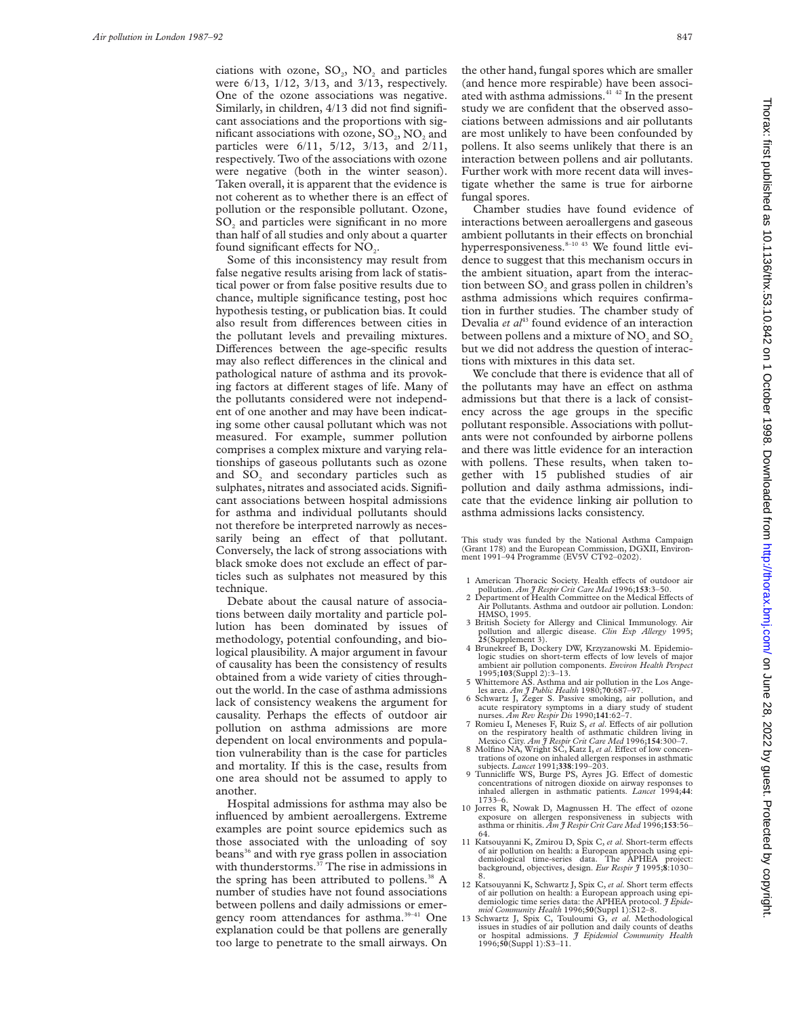ciations with ozone,  $SO_2$ ,  $NO_2$  and particles were 6/13, 1/12, 3/13, and 3/13, respectively. One of the ozone associations was negative. Similarly, in children, 4/13 did not find significant associations and the proportions with significant associations with ozone,  $SO_2$ ,  $NO_2$  and particles were 6/11, 5/12, 3/13, and 2/11, respectively. Two of the associations with ozone were negative (both in the winter season). Taken overall, it is apparent that the evidence is not coherent as to whether there is an effect of pollution or the responsible pollutant. Ozone, SO<sub>2</sub> and particles were significant in no more than half of all studies and only about a quarter found significant effects for NO<sub>2</sub>.

Some of this inconsistency may result from false negative results arising from lack of statistical power or from false positive results due to chance, multiple significance testing, post hoc hypothesis testing, or publication bias. It could also result from differences between cities in the pollutant levels and prevailing mixtures. Differences between the age-specific results may also reflect differences in the clinical and pathological nature of asthma and its provoking factors at different stages of life. Many of the pollutants considered were not independent of one another and may have been indicating some other causal pollutant which was not measured. For example, summer pollution comprises a complex mixture and varying relationships of gaseous pollutants such as ozone and  $SO<sub>2</sub>$  and secondary particles such as sulphates, nitrates and associated acids. Significant associations between hospital admissions for asthma and individual pollutants should not therefore be interpreted narrowly as necessarily being an effect of that pollutant. Conversely, the lack of strong associations with black smoke does not exclude an effect of particles such as sulphates not measured by this technique.

Debate about the causal nature of associations between daily mortality and particle pollution has been dominated by issues of methodology, potential confounding, and biological plausibility. A major argument in favour of causality has been the consistency of results obtained from a wide variety of cities throughout the world. In the case of asthma admissions lack of consistency weakens the argument for causality. Perhaps the effects of outdoor air pollution on asthma admissions are more dependent on local environments and population vulnerability than is the case for particles and mortality. If this is the case, results from one area should not be assumed to apply to another.

Hospital admissions for asthma may also be influenced by ambient aeroallergens. Extreme examples are point source epidemics such as those associated with the unloading of soy beans<sup>36</sup> and with rye grass pollen in association with thunderstorms.<sup>37</sup> The rise in admissions in the spring has been attributed to pollens.<sup>38</sup> A number of studies have not found associations between pollens and daily admissions or emergency room attendances for asthma.<sup>39-41</sup> One explanation could be that pollens are generally too large to penetrate to the small airways. On the other hand, fungal spores which are smaller (and hence more respirable) have been associated with asthma admissions.<sup>41 42</sup> In the present study we are confident that the observed associations between admissions and air pollutants are most unlikely to have been confounded by pollens. It also seems unlikely that there is an interaction between pollens and air pollutants. Further work with more recent data will investigate whether the same is true for airborne fungal spores.

Chamber studies have found evidence of interactions between aeroallergens and gaseous ambient pollutants in their effects on bronchial hyperresponsiveness.<sup>8-10 43</sup> We found little evidence to suggest that this mechanism occurs in the ambient situation, apart from the interaction between SO<sub>2</sub> and grass pollen in children's asthma admissions which requires confirmation in further studies. The chamber study of Devalia *et al*<sup>43</sup> found evidence of an interaction between pollens and a mixture of NO<sub>2</sub> and SO<sub>2</sub> but we did not address the question of interactions with mixtures in this data set.

We conclude that there is evidence that all of the pollutants may have an effect on asthma admissions but that there is a lack of consistency across the age groups in the specific pollutant responsible. Associations with pollutants were not confounded by airborne pollens and there was little evidence for an interaction with pollens. These results, when taken together with 15 published studies of air pollution and daily asthma admissions, indicate that the evidence linking air pollution to asthma admissions lacks consistency.

This study was funded by the National Asthma Campaign (Grant 178) and the European Commission, DGXII, Environment 1991–94 Programme (EV5V CT92–0202).

- 1 American Thoracic Society. Health effects of outdoor air<br>pollution. *Am J Respir Crit Care Med* 1996;**153**:3–50.<br>2 Department of Health Committee on the Medical Effects of
- Air Pollutants. Asthma and outdoor air pollution. London: HMSO, 1995.
- 3 British Society for Allergy and Clinical Immunology. Air pollution and allergic disease. *Clin Exp Allergy* 1995; **25**(Supplement 3).
- 4 Brunekreef B, Dockery DW, Krzyzanowski M. Epidemiologic studies on short-term effects of low levels of major<br>ambient air pollution components. *Environ Health Perspect* 1995;**103**(Suppl 2):3–13.
- 5 Whittemore AS. Asthma and air pollution in the Los Ange-
- les area. *Am J Public Health* 1980;**70**:687–97. 6 Schwartz J, Zeger S. Passive smoking, air pollution, and acute respiratory symptoms in a diary study of student nurses. *Am Rev Respir Dis* 1990;**141**:62–7.
- 7 Romieu I, Meneses F, Ruiz S, *et al.* Effects of air pollution on the respiratory health of asthmatic children living in
- Mexico City. *Am J Respir Crit Care Med* 1996;154:300-7.<br>8 Molfino NA, Wright SC, Katz I, *et al*. Effect of low concentrations of ozone on inhaled allergen responses in asthmatic subjects.  $Lancet 1991;338:199-203$ .
- 9 Tunnicliffe WS, Burge PS, Ayres JG. Effect of domestic concentrations of nitrogen dioxide on airway responses to inhaled allergen in asthmatic patients. *Lancet* 1994;**44**: 1733–6.
- 10 Jorres R, Nowak D, Magnussen H. The effect of ozone exposure on allergen responsiveness in subjects with asthma or rhinitis. *Am J Respir Crit Care Med* 1996;**153**:56– 64.
- 11 Katsouyanni K, Zmirou D, Spix C, *et al*. Short-term effects of air pollution on health: a European approach using epi-<br>demiological time-series data. The APHEA project: background, objectives, design. *Eur Respir J* 1995;8:1030–
- 12 Katsouyanni K, Schwartz J, Spix C, et al. Short term effects of air pollution on health: a European approach using epi-demiologic time series data: the APHEA protocol. *J Epidemiol Community Health* 1996;**50**(Suppl 1):S12–8.
- 13 Schwartz J, Spix C, Touloumi G, *et al*. Methodological issues in studies of air pollution and daily counts of deaths or hospital admissions. *J Epidemiol Community Health* 1996;**50**(Suppl 1):S3–11.